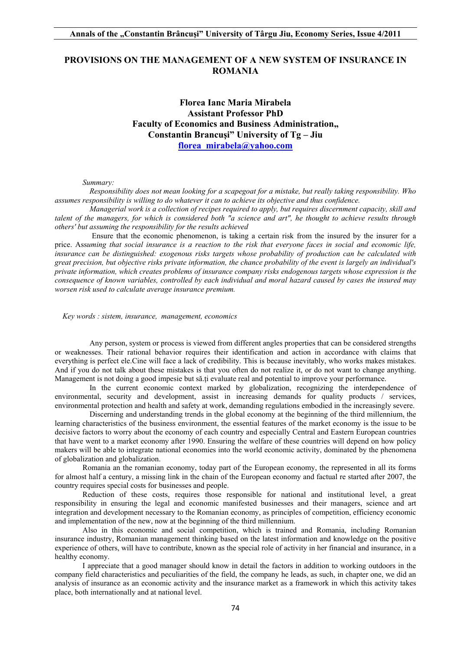# **PROVISIONS ON THE MANAGEMENT OF A NEW SYSTEM OF INSURANCE IN ROMANIA**

**Florea Ianc Maria Mirabela Assistant Professor PhD Faculty of Economics and Business Administration, Constantin Brancuşi" University of Tg – Jiu florea\_mirabela@yahoo.com**

#### *Summary:*

 *Responsibility does not mean looking for a scapegoat for a mistake, but really taking responsibility. Who assumes responsibility is willing to do whatever it can to achieve its objective and thus confidence.* 

 *Managerial work is a collection of recipes required to apply, but requires discernment capacity, skill and talent of the managers, for which is considered both "a science and art", he thought to achieve results through others' but assuming the responsibility for the results achieved* 

 Ensure that the economic phenomenon, is taking a certain risk from the insured by the insurer for a price. Ass*uming that social insurance is a reaction to the risk that everyone faces in social and economic life, insurance can be distinguished: exogenous risks targets whose probability of production can be calculated with great precision, but objective risks private information, the chance probability of the event is largely an individual's private information, which creates problems of insurance company risks endogenous targets whose expression is the consequence of known variables, controlled by each individual and moral hazard caused by cases the insured may worsen risk used to calculate average insurance premium.* 

*Key words : sistem, insurance, management, economics* 

 Any person, system or process is viewed from different angles properties that can be considered strengths or weaknesses. Their rational behavior requires their identification and action in accordance with claims that everything is perfect ele.Cine will face a lack of credibility. This is because inevitably, who works makes mistakes. And if you do not talk about these mistakes is that you often do not realize it, or do not want to change anything. Management is not doing a good impesie but să.ţi evaluate real and potential to improve your performance.

In the current economic context marked by globalization, recognizing the interdependence of environmental, security and development, assist in increasing demands for quality products / services, environmental protection and health and safety at work, demanding regulations embodied in the increasingly severe.

Discerning and understanding trends in the global economy at the beginning of the third millennium, the learning characteristics of the business environment, the essential features of the market economy is the issue to be decisive factors to worry about the economy of each country and especially Central and Eastern European countries that have went to a market economy after 1990. Ensuring the welfare of these countries will depend on how policy makers will be able to integrate national economies into the world economic activity, dominated by the phenomena of globalization and globalization.

Romania an the romanian economy, today part of the European economy, the represented in all its forms for almost half a century, a missing link in the chain of the European economy and factual re started after 2007, the country requires special costs for businesses and people.

Reduction of these costs, requires those responsible for national and institutional level, a great responsibility in ensuring the legal and economic manifested businesses and their managers, science and art integration and development necessary to the Romanian economy, as principles of competition, efficiency economic and implementation of the new, now at the beginning of the third millennium.

Also in this economic and social competition, which is trained and Romania, including Romanian insurance industry, Romanian management thinking based on the latest information and knowledge on the positive experience of others, will have to contribute, known as the special role of activity in her financial and insurance, in a healthy economy.

I appreciate that a good manager should know in detail the factors in addition to working outdoors in the company field characteristics and peculiarities of the field, the company he leads, as such, in chapter one, we did an analysis of insurance as an economic activity and the insurance market as a framework in which this activity takes place, both internationally and at national level.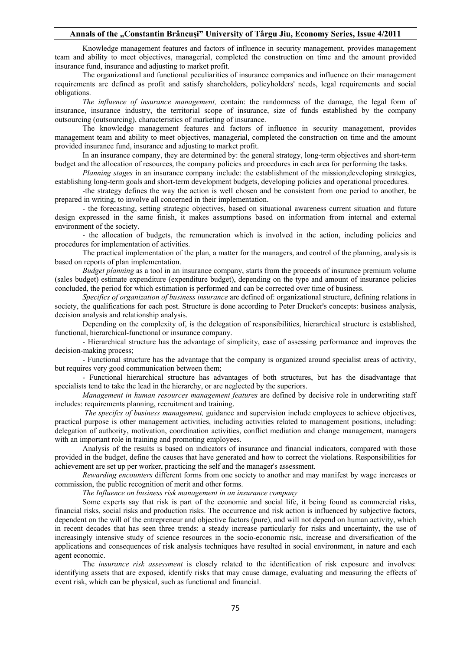## **Annals of the "Constantin Brâncuşi" University of Târgu Jiu, Economy Series, Issue 4/2011**

Knowledge management features and factors of influence in security management, provides management team and ability to meet objectives, managerial, completed the construction on time and the amount provided insurance fund, insurance and adjusting to market profit.

The organizational and functional peculiarities of insurance companies and influence on their management requirements are defined as profit and satisfy shareholders, policyholders' needs, legal requirements and social obligations.

*The influence of insurance management,* contain: the randomness of the damage, the legal form of insurance, insurance industry, the territorial scope of insurance, size of funds established by the company outsourcing (outsourcing), characteristics of marketing of insurance.

The knowledge management features and factors of influence in security management, provides management team and ability to meet objectives, managerial, completed the construction on time and the amount provided insurance fund, insurance and adjusting to market profit.

In an insurance company, they are determined by: the general strategy, long-term objectives and short-term budget and the allocation of resources, the company policies and procedures in each area for performing the tasks.

*Planning stages* in an insurance company include: the establishment of the mission;developing strategies, establishing long-term goals and short-term development budgets, developing policies and operational procedures.

-the strategy defines the way the action is well chosen and be consistent from one period to another, be prepared in writing, to involve all concerned in their implementation.

- the forecasting, setting strategic objectives, based on situational awareness current situation and future design expressed in the same finish, it makes assumptions based on information from internal and external environment of the society.

- the allocation of budgets, the remuneration which is involved in the action, including policies and procedures for implementation of activities.

The practical implementation of the plan, a matter for the managers, and control of the planning, analysis is based on reports of plan implementation.

*Budget planning* as a tool in an insurance company, starts from the proceeds of insurance premium volume (sales budget) estimate expenditure (expenditure budget), depending on the type and amount of insurance policies concluded, the period for which estimation is performed and can be corrected over time of business.

*Specifics of organization of business insurance* are defined of: organizational structure, defining relations in society, the qualifications for each post. Structure is done according to Peter Drucker's concepts: business analysis, decision analysis and relationship analysis.

Depending on the complexity of, is the delegation of responsibilities, hierarchical structure is established, functional, hierarchical-functional or insurance company.

- Hierarchical structure has the advantage of simplicity, ease of assessing performance and improves the decision-making process;

- Functional structure has the advantage that the company is organized around specialist areas of activity, but requires very good communication between them;

- Functional hierarchical structure has advantages of both structures, but has the disadvantage that specialists tend to take the lead in the hierarchy, or are neglected by the superiors.

*Management in human resources management features* are defined by decisive role in underwriting staff includes: requirements planning, recruitment and training.

 *The specifcs of business management,* guidance and supervision include employees to achieve objectives, practical purpose is other management activities, including activities related to management positions, including: delegation of authority, motivation, coordination activities, conflict mediation and change management, managers with an important role in training and promoting employees.

Analysis of the results is based on indicators of insurance and financial indicators, compared with those provided in the budget, define the causes that have generated and how to correct the violations. Responsibilities for achievement are set up per worker, practicing the self and the manager's assessment.

*Rewarding encounters* different forms from one society to another and may manifest by wage increases or commission, the public recognition of merit and other forms.

*The Influence on business risk management in an insurance company* 

Some experts say that risk is part of the economic and social life, it being found as commercial risks, financial risks, social risks and production risks. The occurrence and risk action is influenced by subjective factors, dependent on the will of the entrepreneur and objective factors (pure), and will not depend on human activity, which in recent decades that has seen three trends: a steady increase particularly for risks and uncertainty, the use of increasingly intensive study of science resources in the socio-economic risk, increase and diversification of the applications and consequences of risk analysis techniques have resulted in social environment, in nature and each agent economic.

The *insurance risk assessment* is closely related to the identification of risk exposure and involves: identifying assets that are exposed, identify risks that may cause damage, evaluating and measuring the effects of event risk, which can be physical, such as functional and financial.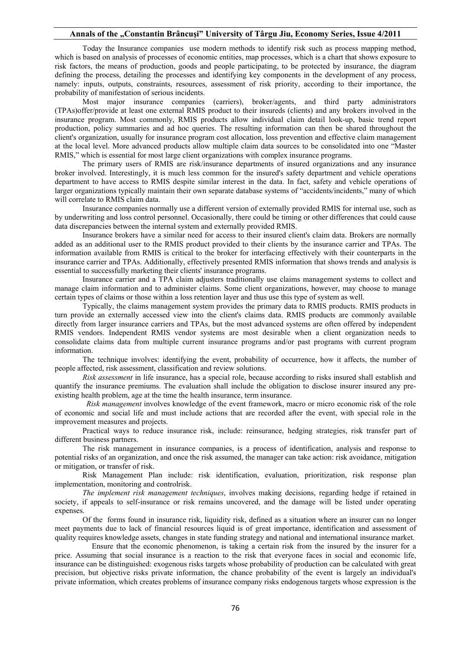## **Annals of the "Constantin Brâncuşi" University of Târgu Jiu, Economy Series, Issue 4/2011**

Today the Insurance companies use modern methods to identify risk such as process mapping method, which is based on analysis of processes of economic entities, map processes, which is a chart that shows exposure to risk factors, the means of production, goods and people participating, to be protected by insurance, the diagram defining the process, detailing the processes and identifying key components in the development of any process, namely: inputs, outputs, constraints, resources, assessment of risk priority, according to their importance, the probability of manifestation of serious incidents.

Most major insurance companies (carriers), broker/agents, and third party administrators (TPAs)offer/provide at least one external RMIS product to their insureds (clients) and any brokers involved in the insurance program. Most commonly, RMIS products allow individual claim detail look-up, basic trend report production, policy summaries and ad hoc queries. The resulting information can then be shared throughout the client's organization, usually for insurance program cost allocation, loss prevention and effective claim management at the local level. More advanced products allow multiple claim data sources to be consolidated into one "Master RMIS," which is essential for most large client organizations with complex insurance programs.

The primary users of RMIS are risk/insurance departments of insured organizations and any insurance broker involved. Interestingly, it is much less common for the insured's safety department and vehicle operations department to have access to RMIS despite similar interest in the data. In fact, safety and vehicle operations of larger organizations typically maintain their own separate database systems of "accidents/incidents," many of which will correlate to RMIS claim data.

Insurance companies normally use a different version of externally provided RMIS for internal use, such as by underwriting and loss control personnel. Occasionally, there could be timing or other differences that could cause data discrepancies between the internal system and externally provided RMIS.

Insurance brokers have a similar need for access to their insured client's claim data. Brokers are normally added as an additional user to the RMIS product provided to their clients by the insurance carrier and TPAs. The information available from RMIS is critical to the broker for interfacing effectively with their counterparts in the insurance carrier and TPAs. Additionally, effectively presented RMIS information that shows trends and analysis is essential to successfully marketing their clients' insurance programs.

Insurance carrier and a TPA claim adjusters traditionally use claims management systems to collect and manage claim information and to administer claims. Some client organizations, however, may choose to manage certain types of claims or those within a loss retention layer and thus use this type of system as well.

Typically, the claims management system provides the primary data to RMIS products. RMIS products in turn provide an externally accessed view into the client's claims data. RMIS products are commonly available directly from larger insurance carriers and TPAs, but the most advanced systems are often offered by independent RMIS vendors. Independent RMIS vendor systems are most desirable when a client organization needs to consolidate claims data from multiple current insurance programs and/or past programs with current program information.

The technique involves: identifying the event, probability of occurrence, how it affects, the number of people affected, risk assessment, classification and review solutions.

*Risk assessment* in life insurance, has a special role, because according to risks insured shall establish and quantify the insurance premiums. The evaluation shall include the obligation to disclose insurer insured any preexisting health problem, age at the time the health insurance, term insurance.

 *Risk management* involves knowledge of the event framework, macro or micro economic risk of the role of economic and social life and must include actions that are recorded after the event, with special role in the improvement measures and projects.

Practical ways to reduce insurance risk, include: reinsurance, hedging strategies, risk transfer part of different business partners.

The risk management in insurance companies, is a process of identification, analysis and response to potential risks of an organization, and once the risk assumed, the manager can take action: risk avoidance, mitigation or mitigation, or transfer of risk.

Risk Management Plan include: risk identification, evaluation, prioritization, risk response plan implementation, monitoring and controlrisk.

*The implement risk management techniques*, involves making decisions, regarding hedge if retained in society, if appeals to self-insurance or risk remains uncovered, and the damage will be listed under operating expenses.

Of the forms found in insurance risk, liquidity risk, defined as a situation where an insurer can no longer meet payments due to lack of financial resources liquid is of great importance, identification and assessment of quality requires knowledge assets, changes in state funding strategy and national and international insurance market.

 Ensure that the economic phenomenon, is taking a certain risk from the insured by the insurer for a price. Assuming that social insurance is a reaction to the risk that everyone faces in social and economic life, insurance can be distinguished: exogenous risks targets whose probability of production can be calculated with great precision, but objective risks private information, the chance probability of the event is largely an individual's private information, which creates problems of insurance company risks endogenous targets whose expression is the